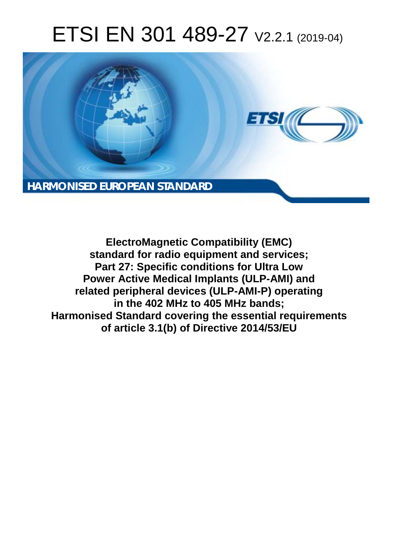# ETSI EN 301 489-27 V2.2.1 (2019-04)



**ElectroMagnetic Compatibility (EMC) standard for radio equipment and services; Part 27: Specific conditions for Ultra Low Power Active Medical Implants (ULP-AMI) and related peripheral devices (ULP-AMI-P) operating in the 402 MHz to 405 MHz bands; Harmonised Standard covering the essential requirements of article 3.1(b) of Directive 2014/53/EU**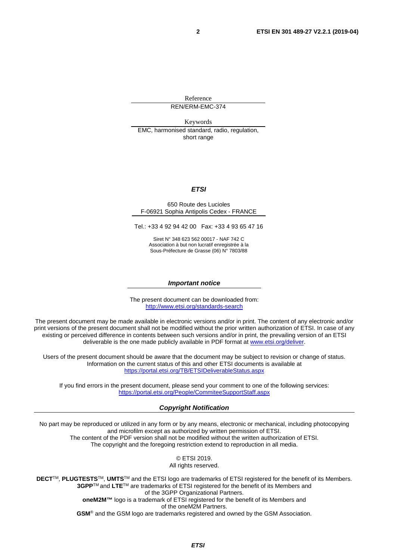Reference REN/ERM-EMC-374

Keywords EMC, harmonised standard, radio, regulation, short range

#### *ETSI*

#### 650 Route des Lucioles F-06921 Sophia Antipolis Cedex - FRANCE

Tel.: +33 4 92 94 42 00 Fax: +33 4 93 65 47 16

Siret N° 348 623 562 00017 - NAF 742 C Association à but non lucratif enregistrée à la Sous-Préfecture de Grasse (06) N° 7803/88

#### *Important notice*

The present document can be downloaded from: <http://www.etsi.org/standards-search>

The present document may be made available in electronic versions and/or in print. The content of any electronic and/or print versions of the present document shall not be modified without the prior written authorization of ETSI. In case of any existing or perceived difference in contents between such versions and/or in print, the prevailing version of an ETSI deliverable is the one made publicly available in PDF format at [www.etsi.org/deliver](http://www.etsi.org/deliver).

Users of the present document should be aware that the document may be subject to revision or change of status. Information on the current status of this and other ETSI documents is available at <https://portal.etsi.org/TB/ETSIDeliverableStatus.aspx>

If you find errors in the present document, please send your comment to one of the following services: <https://portal.etsi.org/People/CommiteeSupportStaff.aspx>

#### *Copyright Notification*

No part may be reproduced or utilized in any form or by any means, electronic or mechanical, including photocopying and microfilm except as authorized by written permission of ETSI. The content of the PDF version shall not be modified without the written authorization of ETSI. The copyright and the foregoing restriction extend to reproduction in all media.

> © ETSI 2019. All rights reserved.

**DECT**TM, **PLUGTESTS**TM, **UMTS**TM and the ETSI logo are trademarks of ETSI registered for the benefit of its Members. **3GPP**TM and **LTE**TM are trademarks of ETSI registered for the benefit of its Members and of the 3GPP Organizational Partners. **oneM2M™** logo is a trademark of ETSI registered for the benefit of its Members and of the oneM2M Partners. **GSM**® and the GSM logo are trademarks registered and owned by the GSM Association.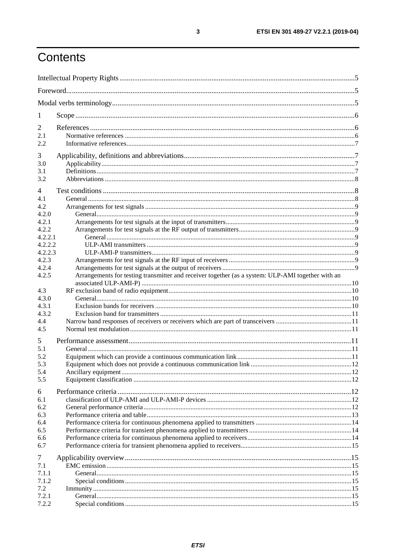# Contents

| 1                  |                                                                                                   |  |
|--------------------|---------------------------------------------------------------------------------------------------|--|
| 2                  |                                                                                                   |  |
| 2.1                |                                                                                                   |  |
| 2.2                |                                                                                                   |  |
| 3                  |                                                                                                   |  |
| 3.0                |                                                                                                   |  |
| 3.1                |                                                                                                   |  |
| 3.2                |                                                                                                   |  |
|                    |                                                                                                   |  |
| $\overline{4}$     |                                                                                                   |  |
| 4.1                |                                                                                                   |  |
| 4.2                |                                                                                                   |  |
| 4.2.0              |                                                                                                   |  |
| 4.2.1              |                                                                                                   |  |
| 4.2.2              |                                                                                                   |  |
| 4.2.2.1            |                                                                                                   |  |
| 4.2.2.2<br>4.2.2.3 |                                                                                                   |  |
|                    |                                                                                                   |  |
| 4.2.3<br>4.2.4     |                                                                                                   |  |
| 4.2.5              | Arrangements for testing transmitter and receiver together (as a system: ULP-AMI together with an |  |
|                    |                                                                                                   |  |
| 4.3                |                                                                                                   |  |
| 4.3.0              |                                                                                                   |  |
| 4.3.1              |                                                                                                   |  |
| 4.3.2              |                                                                                                   |  |
| 4.4                |                                                                                                   |  |
| 4.5                |                                                                                                   |  |
|                    |                                                                                                   |  |
| 5                  |                                                                                                   |  |
| 5.1                |                                                                                                   |  |
| 5.2                |                                                                                                   |  |
| 5.3                |                                                                                                   |  |
| 5.4                |                                                                                                   |  |
| 5.5                |                                                                                                   |  |
| 6                  |                                                                                                   |  |
| 6.1                |                                                                                                   |  |
| 6.2                |                                                                                                   |  |
| 6.3                |                                                                                                   |  |
| 6.4                |                                                                                                   |  |
| 6.5                |                                                                                                   |  |
| 6.6                |                                                                                                   |  |
| 6.7                |                                                                                                   |  |
| $\tau$             |                                                                                                   |  |
| 7.1                |                                                                                                   |  |
| 7.1.1              |                                                                                                   |  |
| 7.1.2              |                                                                                                   |  |
| 7.2                |                                                                                                   |  |
| 7.2.1              |                                                                                                   |  |
| 7.2.2              |                                                                                                   |  |
|                    |                                                                                                   |  |

 $\mathbf{3}$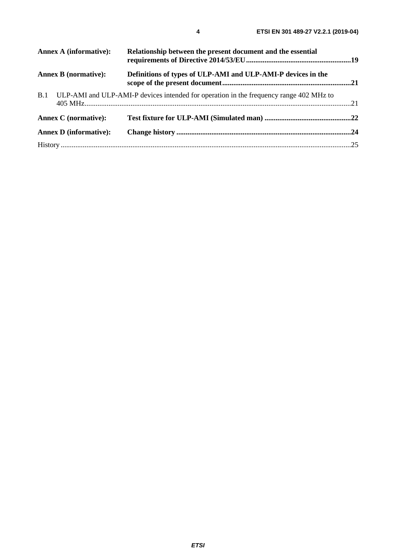|     | Annex A (informative):        | Relationship between the present document and the essential                            |  |
|-----|-------------------------------|----------------------------------------------------------------------------------------|--|
|     | <b>Annex B</b> (normative):   | Definitions of types of ULP-AMI and ULP-AMI-P devices in the                           |  |
| B.1 |                               | ULP-AMI and ULP-AMI-P devices intended for operation in the frequency range 402 MHz to |  |
|     | <b>Annex C</b> (normative):   |                                                                                        |  |
|     | <b>Annex D</b> (informative): |                                                                                        |  |
|     |                               |                                                                                        |  |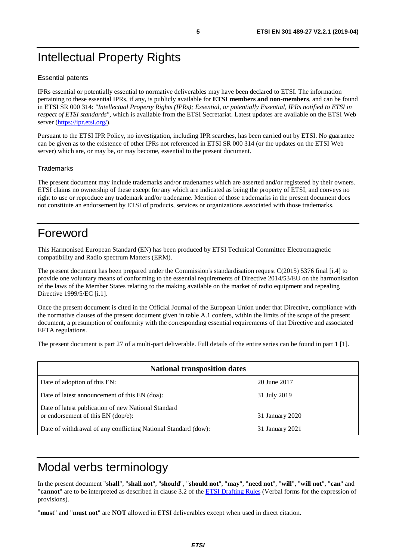# <span id="page-4-0"></span>Intellectual Property Rights

#### Essential patents

IPRs essential or potentially essential to normative deliverables may have been declared to ETSI. The information pertaining to these essential IPRs, if any, is publicly available for **ETSI members and non-members**, and can be found in ETSI SR 000 314: *"Intellectual Property Rights (IPRs); Essential, or potentially Essential, IPRs notified to ETSI in respect of ETSI standards"*, which is available from the ETSI Secretariat. Latest updates are available on the ETSI Web server (<https://ipr.etsi.org/>).

Pursuant to the ETSI IPR Policy, no investigation, including IPR searches, has been carried out by ETSI. No guarantee can be given as to the existence of other IPRs not referenced in ETSI SR 000 314 (or the updates on the ETSI Web server) which are, or may be, or may become, essential to the present document.

#### **Trademarks**

The present document may include trademarks and/or tradenames which are asserted and/or registered by their owners. ETSI claims no ownership of these except for any which are indicated as being the property of ETSI, and conveys no right to use or reproduce any trademark and/or tradename. Mention of those trademarks in the present document does not constitute an endorsement by ETSI of products, services or organizations associated with those trademarks.

# Foreword

This Harmonised European Standard (EN) has been produced by ETSI Technical Committee Electromagnetic compatibility and Radio spectrum Matters (ERM).

The present document has been prepared under the Commission's standardisation request C(2015) 5376 final [\[i.4\]](#page-6-0) to provide one voluntary means of conforming to the essential requirements of Directive 2014/53/EU on the harmonisation of the laws of the Member States relating to the making available on the market of radio equipment and repealing Directive 1999/5/EC [\[i.1](#page-6-0)].

Once the present document is cited in the Official Journal of the European Union under that Directive, compliance with the normative clauses of the present document given in table A.1 confers, within the limits of the scope of the present document, a presumption of conformity with the corresponding essential requirements of that Directive and associated EFTA regulations.

The present document is part 27 of a multi-part deliverable. Full details of the entire series can be found in part 1 [[1\]](#page-5-0).

| <b>National transposition dates</b>                                                         |                 |  |  |
|---------------------------------------------------------------------------------------------|-----------------|--|--|
| Date of adoption of this EN:                                                                | 20 June 2017    |  |  |
| Date of latest announcement of this EN (doa):                                               | 31 July 2019    |  |  |
| Date of latest publication of new National Standard<br>or endorsement of this $EN$ (dop/e): | 31 January 2020 |  |  |
| Date of withdrawal of any conflicting National Standard (dow):                              | 31 January 2021 |  |  |

# Modal verbs terminology

In the present document "**shall**", "**shall not**", "**should**", "**should not**", "**may**", "**need not**", "**will**", "**will not**", "**can**" and "**cannot**" are to be interpreted as described in clause 3.2 of the [ETSI Drafting Rules](https://portal.etsi.org/Services/editHelp!/Howtostart/ETSIDraftingRules.aspx) (Verbal forms for the expression of provisions).

"**must**" and "**must not**" are **NOT** allowed in ETSI deliverables except when used in direct citation.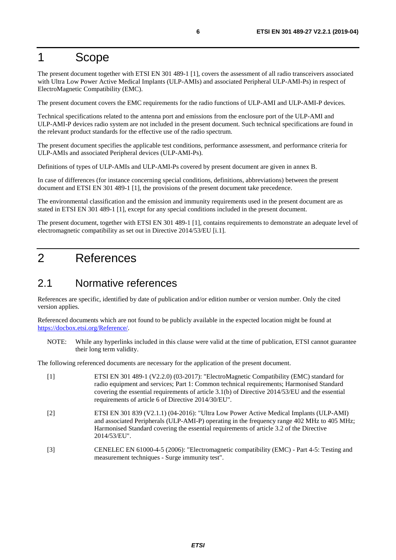# <span id="page-5-0"></span>1 Scope

The present document together with ETSI EN 301 489-1 [1], covers the assessment of all radio transceivers associated with Ultra Low Power Active Medical Implants (ULP-AMIs) and associated Peripheral ULP-AMI-Ps) in respect of ElectroMagnetic Compatibility (EMC).

The present document covers the EMC requirements for the radio functions of ULP-AMI and ULP-AMI-P devices.

Technical specifications related to the antenna port and emissions from the enclosure port of the ULP-AMI and ULP-AMI-P devices radio system are not included in the present document. Such technical specifications are found in the relevant product standards for the effective use of the radio spectrum.

The present document specifies the applicable test conditions, performance assessment, and performance criteria for ULP-AMIs and associated Peripheral devices (ULP-AMI-Ps).

Definitions of types of ULP-AMIs and ULP-AMI-Ps covered by present document are given in annex B.

In case of differences (for instance concerning special conditions, definitions, abbreviations) between the present document and ETSI EN 301 489-1 [1], the provisions of the present document take precedence.

The environmental classification and the emission and immunity requirements used in the present document are as stated in ETSI EN 301 489-1 [1], except for any special conditions included in the present document.

The present document, together with ETSI EN 301 489-1 [1], contains requirements to demonstrate an adequate level of electromagnetic compatibility as set out in Directive 2014/53/EU [\[i.1](#page-6-0)].

# 2 References

### 2.1 Normative references

References are specific, identified by date of publication and/or edition number or version number. Only the cited version applies.

Referenced documents which are not found to be publicly available in the expected location might be found at <https://docbox.etsi.org/Reference/>.

NOTE: While any hyperlinks included in this clause were valid at the time of publication, ETSI cannot guarantee their long term validity.

The following referenced documents are necessary for the application of the present document.

- [1] ETSI EN 301 489-1 (V2.2.0) (03-2017): "ElectroMagnetic Compatibility (EMC) standard for radio equipment and services; Part 1: Common technical requirements; Harmonised Standard covering the essential requirements of article 3.1(b) of Directive 2014/53/EU and the essential requirements of article 6 of Directive 2014/30/EU".
- [2] ETSI EN 301 839 (V2.1.1) (04-2016): "Ultra Low Power Active Medical Implants (ULP-AMI) and associated Peripherals (ULP-AMI-P) operating in the frequency range 402 MHz to 405 MHz; Harmonised Standard covering the essential requirements of article 3.2 of the Directive 2014/53/EU".
- [3] CENELEC EN 61000-4-5 (2006): "Electromagnetic compatibility (EMC) Part 4-5: Testing and measurement techniques - Surge immunity test".

*ETSI*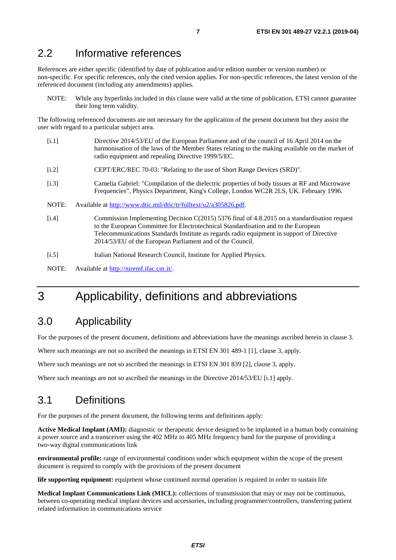### <span id="page-6-0"></span>2.2 Informative references

References are either specific (identified by date of publication and/or edition number or version number) or non-specific. For specific references, only the cited version applies. For non-specific references, the latest version of the referenced document (including any amendments) applies.

NOTE: While any hyperlinks included in this clause were valid at the time of publication, ETSI cannot guarantee their long term validity.

The following referenced documents are not necessary for the application of the present document but they assist the user with regard to a particular subject area.

- [i.1] Directive 2014/53/EU of the European Parliament and of the council of 16 April 2014 on the harmonisation of the laws of the Member States relating to the making available on the market of radio equipment and repealing Directive 1999/5/EC.
- [i.2] CEPT/ERC/REC 70-03: "Relating to the use of Short Range Devices (SRD)".
- [i.3] Camelia Gabriel: "Compilation of the dielectric properties of body tissues at RF and Microwave Frequencies", Physics Department, King's College, London WC2R 2LS, UK. February 1996.
- NOTE: Available at [http://www.dtic.mil/dtic/tr/fulltext/u2/a305826.pdf.](http://www.dtic.mil/dtic/tr/fulltext/u2/a305826.pdf)
- [i.4] Commission Implementing Decision C(2015) 5376 final of 4.8.2015 on a standardisation request to the European Committee for Electrotechnical Standardisation and to the European Telecommunications Standards Institute as regards radio equipment in support of Directive 2014/53/EU of the European Parliament and of the Council.
- [i.5] Italian National Research Council, Institute for Applied Physics.
- NOTE: Available at [http://niremf.ifac.cnr.it/.](http://niremf.ifac.cnr.it/)

# 3 Applicability, definitions and abbreviations

### 3.0 Applicability

For the purposes of the present document, definitions and abbreviations have the meanings ascribed herein in clause 3.

Where such meanings are not so ascribed the meanings in ETSI EN 301 489-1 [\[1](#page-5-0)], clause 3, apply.

Where such meanings are not so ascribed the meanings in ETSI EN 301 839 [\[2](#page-5-0)], clause 3, apply.

Where such meanings are not so ascribed the meanings in the Directive 2014/53/EU [i.1] apply.

# 3.1 Definitions

For the purposes of the present document, the following terms and definitions apply:

**Active Medical Implant (AMI):** diagnostic or therapeutic device designed to be implanted in a human body containing a power source and a transceiver using the 402 MHz to 405 MHz frequency band for the purpose of providing a two-way digital communications link

**environmental profile:** range of environmental conditions under which equipment within the scope of the present document is required to comply with the provisions of the present document

**life supporting equipment:** equipment whose continued normal operation is required in order to sustain life

**Medical Implant Communications Link (MICL):** collections of transmission that may or may not be continuous, between co-operating medical implant devices and accessories, including programmer/controllers, transferring patient related information in communications service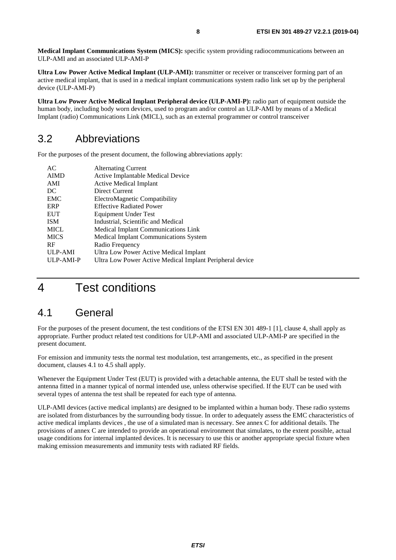<span id="page-7-0"></span>**Medical Implant Communications System (MICS):** specific system providing radiocommunications between an ULP-AMI and an associated ULP-AMI-P

**Ultra Low Power Active Medical Implant (ULP-AMI):** transmitter or receiver or transceiver forming part of an active medical implant, that is used in a medical implant communications system radio link set up by the peripheral device (ULP-AMI-P)

**Ultra Low Power Active Medical Implant Peripheral device (ULP-AMI-P):** radio part of equipment outside the human body, including body worn devices, used to program and/or control an ULP-AMI by means of a Medical Implant (radio) Communications Link (MICL), such as an external programmer or control transceiver

### 3.2 Abbreviations

For the purposes of the present document, the following abbreviations apply:

| <b>Alternating Current</b>                               |
|----------------------------------------------------------|
| Active Implantable Medical Device                        |
| <b>Active Medical Implant</b>                            |
| Direct Current                                           |
| ElectroMagnetic Compatibility                            |
| <b>Effective Radiated Power</b>                          |
| Equipment Under Test                                     |
| Industrial, Scientific and Medical                       |
| <b>Medical Implant Communications Link</b>               |
| <b>Medical Implant Communications System</b>             |
| Radio Frequency                                          |
| Ultra Low Power Active Medical Implant                   |
| Ultra Low Power Active Medical Implant Peripheral device |
|                                                          |

# 4 Test conditions

### 4.1 General

For the purposes of the present document, the test conditions of the ETSI EN 301 489-1 [\[1](#page-5-0)], clause 4, shall apply as appropriate. Further product related test conditions for ULP-AMI and associated ULP-AMI-P are specified in the present document.

For emission and immunity tests the normal test modulation, test arrangements, etc., as specified in the present document, clauses 4.1 to 4.5 shall apply.

Whenever the Equipment Under Test (EUT) is provided with a detachable antenna, the EUT shall be tested with the antenna fitted in a manner typical of normal intended use, unless otherwise specified. If the EUT can be used with several types of antenna the test shall be repeated for each type of antenna.

ULP-AMI devices (active medical implants) are designed to be implanted within a human body. These radio systems are isolated from disturbances by the surrounding body tissue. In order to adequately assess the EMC characteristics of active medical implants devices , the use of a simulated man is necessary. See annex C for additional details. The provisions of annex C are intended to provide an operational environment that simulates, to the extent possible, actual usage conditions for internal implanted devices. It is necessary to use this or another appropriate special fixture when making emission measurements and immunity tests with radiated RF fields.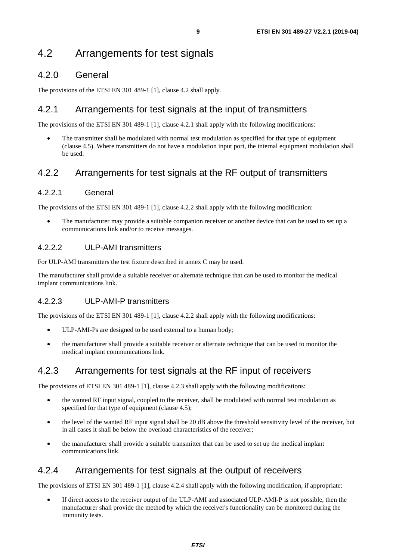### <span id="page-8-0"></span>4.2.0 General

The provisions of the ETSI EN 301 489-1 [[1\]](#page-5-0), clause 4.2 shall apply.

#### 4.2.1 Arrangements for test signals at the input of transmitters

The provisions of the ETSI EN 301 489-1 [[1\]](#page-5-0), clause 4.2.1 shall apply with the following modifications:

The transmitter shall be modulated with normal test modulation as specified for that type of equipment (clause 4.5). Where transmitters do not have a modulation input port, the internal equipment modulation shall be used.

### 4.2.2 Arrangements for test signals at the RF output of transmitters

#### 4.2.2.1 General

The provisions of the ETSI EN 301 489-1 [[1\]](#page-5-0), clause 4.2.2 shall apply with the following modification:

• The manufacturer may provide a suitable companion receiver or another device that can be used to set up a communications link and/or to receive messages.

#### 4.2.2.2 ULP-AMI transmitters

For ULP-AMI transmitters the test fixture described in annex C may be used.

The manufacturer shall provide a suitable receiver or alternate technique that can be used to monitor the medical implant communications link.

#### 4.2.2.3 ULP-AMI-P transmitters

The provisions of the ETSI EN 301 489-1 [[1\]](#page-5-0), clause 4.2.2 shall apply with the following modifications:

- ULP-AMI-Ps are designed to be used external to a human body;
- the manufacturer shall provide a suitable receiver or alternate technique that can be used to monitor the medical implant communications link.

### 4.2.3 Arrangements for test signals at the RF input of receivers

The provisions of ETSI EN 301 489-1 [[1\]](#page-5-0), clause 4.2.3 shall apply with the following modifications:

- the wanted RF input signal, coupled to the receiver, shall be modulated with normal test modulation as specified for that type of equipment (clause 4.5);
- the level of the wanted RF input signal shall be 20 dB above the threshold sensitivity level of the receiver, but in all cases it shall be below the overload characteristics of the receiver;
- the manufacturer shall provide a suitable transmitter that can be used to set up the medical implant communications link.

### 4.2.4 Arrangements for test signals at the output of receivers

The provisions of ETSI EN 301 489-1 [[1\]](#page-5-0), clause 4.2.4 shall apply with the following modification, if appropriate:

If direct access to the receiver output of the ULP-AMI and associated ULP-AMI-P is not possible, then the manufacturer shall provide the method by which the receiver's functionality can be monitored during the immunity tests.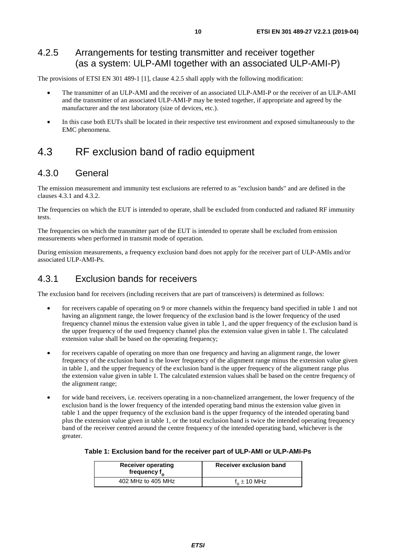### <span id="page-9-0"></span>4.2.5 Arrangements for testing transmitter and receiver together (as a system: ULP-AMI together with an associated ULP-AMI-P)

The provisions of ETSI EN 301 489-1 [[1\]](#page-5-0), clause 4.2.5 shall apply with the following modification:

- The transmitter of an ULP-AMI and the receiver of an associated ULP-AMI-P or the receiver of an ULP-AMI and the transmitter of an associated ULP-AMI-P may be tested together, if appropriate and agreed by the manufacturer and the test laboratory (size of devices, etc.).
- In this case both EUTs shall be located in their respective test environment and exposed simultaneously to the EMC phenomena.

# 4.3 RF exclusion band of radio equipment

### 4.3.0 General

The emission measurement and immunity test exclusions are referred to as "exclusion bands" and are defined in the clauses 4.3.1 and 4.3.2.

The frequencies on which the EUT is intended to operate, shall be excluded from conducted and radiated RF immunity tests.

The frequencies on which the transmitter part of the EUT is intended to operate shall be excluded from emission measurements when performed in transmit mode of operation.

During emission measurements, a frequency exclusion band does not apply for the receiver part of ULP-AMIs and/or associated ULP-AMI-Ps.

#### 4.3.1 Exclusion bands for receivers

The exclusion band for receivers (including receivers that are part of transceivers) is determined as follows:

- for receivers capable of operating on 9 or more channels within the frequency band specified in table 1 and not having an alignment range, the lower frequency of the exclusion band is the lower frequency of the used frequency channel minus the extension value given in table 1, and the upper frequency of the exclusion band is the upper frequency of the used frequency channel plus the extension value given in table 1. The calculated extension value shall be based on the operating frequency;
- for receivers capable of operating on more than one frequency and having an alignment range, the lower frequency of the exclusion band is the lower frequency of the alignment range minus the extension value given in table 1, and the upper frequency of the exclusion band is the upper frequency of the alignment range plus the extension value given in table 1. The calculated extension values shall be based on the centre frequency of the alignment range;
- for wide band receivers, i.e. receivers operating in a non-channelized arrangement, the lower frequency of the exclusion band is the lower frequency of the intended operating band minus the extension value given in table 1 and the upper frequency of the exclusion band is the upper frequency of the intended operating band plus the extension value given in table 1, or the total exclusion band is twice the intended operating frequency band of the receiver centred around the centre frequency of the intended operating band, whichever is the greater.

| <b>Receiver operating</b><br>frequency $f_{\alpha}$ | Receiver exclusion band |
|-----------------------------------------------------|-------------------------|
| 402 MHz to 405 MHz                                  | $f_{0} \pm 10$ MHz      |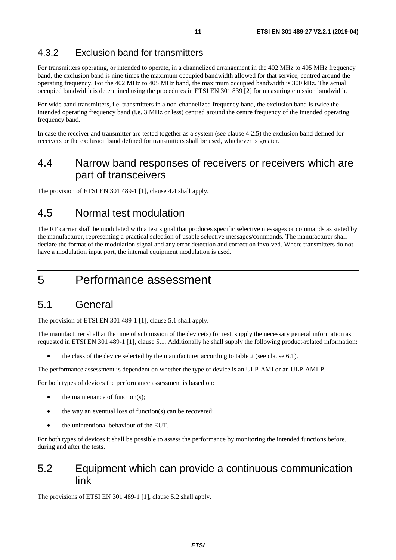#### <span id="page-10-0"></span>4.3.2 Exclusion band for transmitters

For transmitters operating, or intended to operate, in a channelized arrangement in the 402 MHz to 405 MHz frequency band, the exclusion band is nine times the maximum occupied bandwidth allowed for that service, centred around the operating frequency. For the 402 MHz to 405 MHz band, the maximum occupied bandwidth is 300 kHz. The actual occupied bandwidth is determined using the procedures in ETSI EN 301 839 [[2\]](#page-5-0) for measuring emission bandwidth.

For wide band transmitters, i.e. transmitters in a non-channelized frequency band, the exclusion band is twice the intended operating frequency band (i.e. 3 MHz or less) centred around the centre frequency of the intended operating frequency band.

In case the receiver and transmitter are tested together as a system (see clause 4.2.5) the exclusion band defined for receivers or the exclusion band defined for transmitters shall be used, whichever is greater.

# 4.4 Narrow band responses of receivers or receivers which are part of transceivers

The provision of ETSI EN 301 489-1 [[1\]](#page-5-0), clause 4.4 shall apply.

### 4.5 Normal test modulation

The RF carrier shall be modulated with a test signal that produces specific selective messages or commands as stated by the manufacturer, representing a practical selection of usable selective messages/commands. The manufacturer shall declare the format of the modulation signal and any error detection and correction involved. Where transmitters do not have a modulation input port, the internal equipment modulation is used.

# 5 Performance assessment

### 5.1 General

The provision of ETSI EN 301 489-1 [[1\]](#page-5-0), clause 5.1 shall apply.

The manufacturer shall at the time of submission of the device(s) for test, supply the necessary general information as requested in ETSI EN 301 489-1 [[1\]](#page-5-0), clause 5.1. Additionally he shall supply the following product-related information:

• the class of the device selected by the manufacturer according to table 2 (see clause 6.1).

The performance assessment is dependent on whether the type of device is an ULP-AMI or an ULP-AMI-P.

For both types of devices the performance assessment is based on:

- the maintenance of function $(s)$ ;
- the way an eventual loss of function(s) can be recovered;
- the unintentional behaviour of the EUT.

For both types of devices it shall be possible to assess the performance by monitoring the intended functions before, during and after the tests.

### 5.2 Equipment which can provide a continuous communication link

The provisions of ETSI EN 301 489-1 [[1\]](#page-5-0), clause 5.2 shall apply.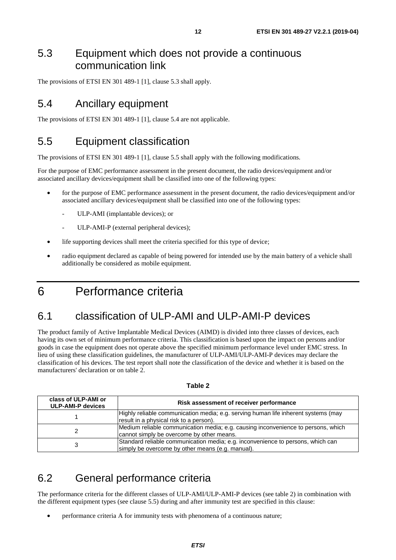# <span id="page-11-0"></span>5.3 Equipment which does not provide a continuous communication link

The provisions of ETSI EN 301 489-1 [[1\]](#page-5-0), clause 5.3 shall apply.

# 5.4 Ancillary equipment

The provisions of ETSI EN 301 489-1 [[1\]](#page-5-0), clause 5.4 are not applicable.

# 5.5 Equipment classification

The provisions of ETSI EN 301 489-1 [[1\]](#page-5-0), clause 5.5 shall apply with the following modifications.

For the purpose of EMC performance assessment in the present document, the radio devices/equipment and/or associated ancillary devices/equipment shall be classified into one of the following types:

- for the purpose of EMC performance assessment in the present document, the radio devices/equipment and/or associated ancillary devices/equipment shall be classified into one of the following types:
	- ULP-AMI (implantable devices); or
	- ULP-AMI-P (external peripheral devices);
- life supporting devices shall meet the criteria specified for this type of device;
- radio equipment declared as capable of being powered for intended use by the main battery of a vehicle shall additionally be considered as mobile equipment.

# 6 Performance criteria

# 6.1 classification of ULP-AMI and ULP-AMI-P devices

The product family of Active Implantable Medical Devices (AIMD) is divided into three classes of devices, each having its own set of minimum performance criteria. This classification is based upon the impact on persons and/or goods in case the equipment does not operate above the specified minimum performance level under EMC stress. In lieu of using these classification guidelines, the manufacturer of ULP-AMI/ULP-AMI-P devices may declare the classification of his devices. The test report shall note the classification of the device and whether it is based on the manufacturers' declaration or on table 2.

| class of ULP-AMI or<br><b>ULP-AMI-P devices</b> | Risk assessment of receiver performance                                                                                             |  |
|-------------------------------------------------|-------------------------------------------------------------------------------------------------------------------------------------|--|
|                                                 | Highly reliable communication media; e.g. serving human life inherent systems (may<br>result in a physical risk to a person).       |  |
|                                                 | Medium reliable communication media; e.g. causing inconvenience to persons, which<br>cannot simply be overcome by other means.      |  |
|                                                 | Standard reliable communication media; e.g. inconvenience to persons, which can<br>simply be overcome by other means (e.g. manual). |  |

#### **Table 2**

# 6.2 General performance criteria

The performance criteria for the different classes of ULP-AMI/ULP-AMI-P devices (see table 2) in combination with the different equipment types (see clause 5.5) during and after immunity test are specified in this clause:

• performance criteria A for immunity tests with phenomena of a continuous nature;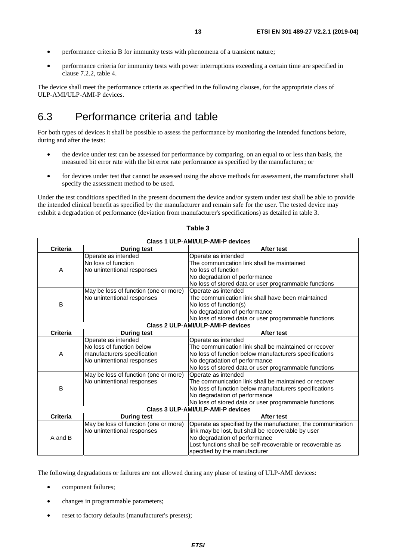- <span id="page-12-0"></span>• performance criteria B for immunity tests with phenomena of a transient nature;
- performance criteria for immunity tests with power interruptions exceeding a certain time are specified in clause 7.2.2, table 4.

The device shall meet the performance criteria as specified in the following clauses, for the appropriate class of ULP-AMI/ULP-AMI-P devices.

# 6.3 Performance criteria and table

For both types of devices it shall be possible to assess the performance by monitoring the intended functions before, during and after the tests:

- the device under test can be assessed for performance by comparing, on an equal to or less than basis, the measured bit error rate with the bit error rate performance as specified by the manufacturer; or
- for devices under test that cannot be assessed using the above methods for assessment, the manufacturer shall specify the assessment method to be used.

Under the test conditions specified in the present document the device and/or system under test shall be able to provide the intended clinical benefit as specified by the manufacturer and remain safe for the user. The tested device may exhibit a degradation of performance (deviation from manufacturer's specifications) as detailed in table 3.

| Class 1 ULP-AMI/ULP-AMI-P devices     |                                       |                                                             |  |  |
|---------------------------------------|---------------------------------------|-------------------------------------------------------------|--|--|
| <b>Criteria</b>                       | <b>During test</b>                    | After test                                                  |  |  |
|                                       | Operate as intended                   | Operate as intended                                         |  |  |
|                                       | No loss of function                   | The communication link shall be maintained                  |  |  |
| A                                     | No unintentional responses            | No loss of function                                         |  |  |
|                                       |                                       | No degradation of performance                               |  |  |
|                                       |                                       | No loss of stored data or user programmable functions       |  |  |
|                                       | May be loss of function (one or more) | Operate as intended                                         |  |  |
|                                       | No unintentional responses            | The communication link shall have been maintained           |  |  |
| B                                     |                                       | No loss of function(s)                                      |  |  |
|                                       |                                       | No degradation of performance                               |  |  |
|                                       |                                       | No loss of stored data or user programmable functions       |  |  |
| Class 2 ULP-AMI/ULP-AMI-P devices     |                                       |                                                             |  |  |
| <b>Criteria</b><br><b>During test</b> |                                       | <b>After test</b>                                           |  |  |
|                                       | Operate as intended                   | Operate as intended                                         |  |  |
|                                       | No loss of function below             | The communication link shall be maintained or recover       |  |  |
| A                                     | manufacturers specification           | No loss of function below manufacturers specifications      |  |  |
|                                       | No unintentional responses            | No degradation of performance                               |  |  |
|                                       |                                       | No loss of stored data or user programmable functions       |  |  |
|                                       | May be loss of function (one or more) | Operate as intended                                         |  |  |
|                                       | No unintentional responses            | The communication link shall be maintained or recover       |  |  |
| В                                     |                                       | No loss of function below manufacturers specifications      |  |  |
|                                       |                                       | No degradation of performance                               |  |  |
|                                       |                                       | No loss of stored data or user programmable functions       |  |  |
|                                       |                                       | Class 3 ULP-AMI/ULP-AMI-P devices                           |  |  |
| <b>Criteria</b>                       | <b>During test</b>                    | <b>After test</b>                                           |  |  |
|                                       | May be loss of function (one or more) | Operate as specified by the manufacturer, the communication |  |  |
|                                       | No unintentional responses            | link may be lost, but shall be recoverable by user          |  |  |
| A and B                               |                                       | No degradation of performance                               |  |  |
|                                       |                                       | Lost functions shall be self-recoverable or recoverable as  |  |  |
|                                       |                                       | specified by the manufacturer                               |  |  |

#### **Table 3**

The following degradations or failures are not allowed during any phase of testing of ULP-AMI devices:

- component failures;
- changes in programmable parameters;
- reset to factory defaults (manufacturer's presets);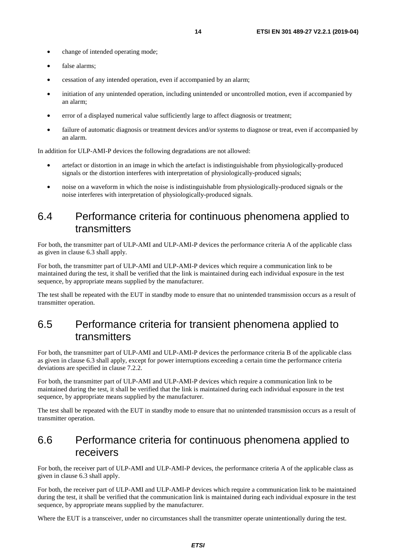- <span id="page-13-0"></span>• change of intended operating mode;
- false alarms:
- cessation of any intended operation, even if accompanied by an alarm;
- initiation of any unintended operation, including unintended or uncontrolled motion, even if accompanied by an alarm;
- error of a displayed numerical value sufficiently large to affect diagnosis or treatment;
- failure of automatic diagnosis or treatment devices and/or systems to diagnose or treat, even if accompanied by an alarm.

In addition for ULP-AMI-P devices the following degradations are not allowed:

- artefact or distortion in an image in which the artefact is indistinguishable from physiologically-produced signals or the distortion interferes with interpretation of physiologically-produced signals;
- noise on a waveform in which the noise is indistinguishable from physiologically-produced signals or the noise interferes with interpretation of physiologically-produced signals.

### 6.4 Performance criteria for continuous phenomena applied to transmitters

For both, the transmitter part of ULP-AMI and ULP-AMI-P devices the performance criteria A of the applicable class as given in clause 6.3 shall apply.

For both, the transmitter part of ULP-AMI and ULP-AMI-P devices which require a communication link to be maintained during the test, it shall be verified that the link is maintained during each individual exposure in the test sequence, by appropriate means supplied by the manufacturer.

The test shall be repeated with the EUT in standby mode to ensure that no unintended transmission occurs as a result of transmitter operation.

# 6.5 Performance criteria for transient phenomena applied to transmitters

For both, the transmitter part of ULP-AMI and ULP-AMI-P devices the performance criteria B of the applicable class as given in clause 6.3 shall apply, except for power interruptions exceeding a certain time the performance criteria deviations are specified in clause 7.2.2.

For both, the transmitter part of ULP-AMI and ULP-AMI-P devices which require a communication link to be maintained during the test, it shall be verified that the link is maintained during each individual exposure in the test sequence, by appropriate means supplied by the manufacturer.

The test shall be repeated with the EUT in standby mode to ensure that no unintended transmission occurs as a result of transmitter operation.

### 6.6 Performance criteria for continuous phenomena applied to receivers

For both, the receiver part of ULP-AMI and ULP-AMI-P devices, the performance criteria A of the applicable class as given in clause 6.3 shall apply.

For both, the receiver part of ULP-AMI and ULP-AMI-P devices which require a communication link to be maintained during the test, it shall be verified that the communication link is maintained during each individual exposure in the test sequence, by appropriate means supplied by the manufacturer.

Where the EUT is a transceiver, under no circumstances shall the transmitter operate unintentionally during the test.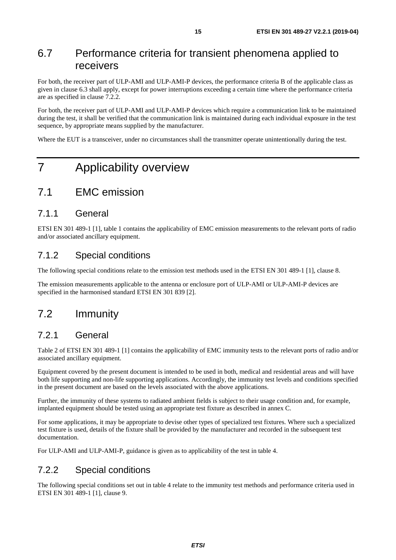# <span id="page-14-0"></span>6.7 Performance criteria for transient phenomena applied to receivers

For both, the receiver part of ULP-AMI and ULP-AMI-P devices, the performance criteria B of the applicable class as given in clause 6.3 shall apply, except for power interruptions exceeding a certain time where the performance criteria are as specified in clause 7.2.2.

For both, the receiver part of ULP-AMI and ULP-AMI-P devices which require a communication link to be maintained during the test, it shall be verified that the communication link is maintained during each individual exposure in the test sequence, by appropriate means supplied by the manufacturer.

Where the EUT is a transceiver, under no circumstances shall the transmitter operate unintentionally during the test.

# 7 Applicability overview

### 7.1 EMC emission

#### 7.1.1 General

ETSI EN 301 489-1 [[1\]](#page-5-0), table 1 contains the applicability of EMC emission measurements to the relevant ports of radio and/or associated ancillary equipment.

#### 7.1.2 Special conditions

The following special conditions relate to the emission test methods used in the ETSI EN 301 489-1 [\[1](#page-5-0)], clause 8.

The emission measurements applicable to the antenna or enclosure port of ULP-AMI or ULP-AMI-P devices are specified in the harmonised standard ETSI EN 301 839 [\[2](#page-5-0)].

# 7.2 Immunity

#### 7.2.1 General

Table 2 of ETSI EN 301 489-1 [\[1](#page-5-0)] contains the applicability of EMC immunity tests to the relevant ports of radio and/or associated ancillary equipment.

Equipment covered by the present document is intended to be used in both, medical and residential areas and will have both life supporting and non-life supporting applications. Accordingly, the immunity test levels and conditions specified in the present document are based on the levels associated with the above applications.

Further, the immunity of these systems to radiated ambient fields is subject to their usage condition and, for example, implanted equipment should be tested using an appropriate test fixture as described in annex C.

For some applications, it may be appropriate to devise other types of specialized test fixtures. Where such a specialized test fixture is used, details of the fixture shall be provided by the manufacturer and recorded in the subsequent test documentation.

For ULP-AMI and ULP-AMI-P, guidance is given as to applicability of the test in table 4.

#### 7.2.2 Special conditions

The following special conditions set out in table 4 relate to the immunity test methods and performance criteria used in ETSI EN 301 489-1 [[1\]](#page-5-0), clause 9.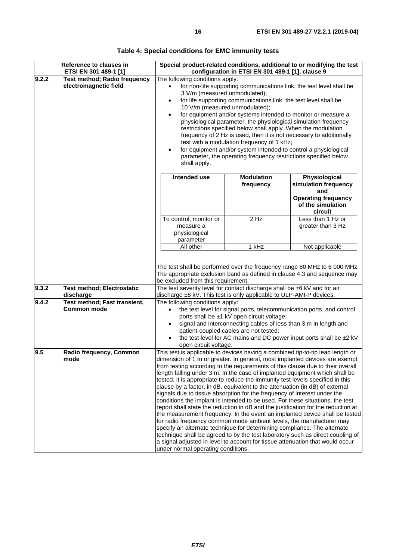|       | Reference to clauses in                                      |                                                                                                                                                                                                                                                                                                                                                                                                                                                                                                                                                                                                                                                                                                                                                                                                                                                                                                                                                                                                                                                                                                                                                                                               |                                                                                                                                                          | Special product-related conditions, additional to or modifying the test                                                                               |
|-------|--------------------------------------------------------------|-----------------------------------------------------------------------------------------------------------------------------------------------------------------------------------------------------------------------------------------------------------------------------------------------------------------------------------------------------------------------------------------------------------------------------------------------------------------------------------------------------------------------------------------------------------------------------------------------------------------------------------------------------------------------------------------------------------------------------------------------------------------------------------------------------------------------------------------------------------------------------------------------------------------------------------------------------------------------------------------------------------------------------------------------------------------------------------------------------------------------------------------------------------------------------------------------|----------------------------------------------------------------------------------------------------------------------------------------------------------|-------------------------------------------------------------------------------------------------------------------------------------------------------|
| 9.2.2 | ETSI EN 301 489-1 [1]<br><b>Test method; Radio frequency</b> | configuration in ETSI EN 301 489-1 [1], clause 9                                                                                                                                                                                                                                                                                                                                                                                                                                                                                                                                                                                                                                                                                                                                                                                                                                                                                                                                                                                                                                                                                                                                              |                                                                                                                                                          |                                                                                                                                                       |
|       | electromagnetic field                                        | The following conditions apply:<br>for non-life supporting communications link, the test level shall be<br>3 V/m (measured unmodulated);<br>for life supporting communications link, the test level shall be<br>$\bullet$<br>10 V/m (measured unmodulated);<br>for equipment and/or systems intended to monitor or measure a<br>physiological parameter, the physiological simulation frequency<br>restrictions specified below shall apply. When the modulation<br>frequency of 2 Hz is used, then it is not necessary to additionally<br>test with a modulation frequency of 1 kHz;<br>for equipment and/or system intended to control a physiological<br>$\bullet$<br>parameter, the operating frequency restrictions specified below<br>shall apply.                                                                                                                                                                                                                                                                                                                                                                                                                                      |                                                                                                                                                          |                                                                                                                                                       |
|       |                                                              | Intended use                                                                                                                                                                                                                                                                                                                                                                                                                                                                                                                                                                                                                                                                                                                                                                                                                                                                                                                                                                                                                                                                                                                                                                                  | <b>Modulation</b>                                                                                                                                        | Physiological                                                                                                                                         |
|       |                                                              |                                                                                                                                                                                                                                                                                                                                                                                                                                                                                                                                                                                                                                                                                                                                                                                                                                                                                                                                                                                                                                                                                                                                                                                               | frequency                                                                                                                                                | simulation frequency                                                                                                                                  |
|       |                                                              |                                                                                                                                                                                                                                                                                                                                                                                                                                                                                                                                                                                                                                                                                                                                                                                                                                                                                                                                                                                                                                                                                                                                                                                               |                                                                                                                                                          | and<br><b>Operating frequency</b><br>of the simulation<br>circuit                                                                                     |
|       |                                                              | To control, monitor or<br>measure a<br>physiological<br>parameter                                                                                                                                                                                                                                                                                                                                                                                                                                                                                                                                                                                                                                                                                                                                                                                                                                                                                                                                                                                                                                                                                                                             | $2$ Hz                                                                                                                                                   | Less than 1 Hz or<br>greater than 3 Hz                                                                                                                |
|       |                                                              | All other                                                                                                                                                                                                                                                                                                                                                                                                                                                                                                                                                                                                                                                                                                                                                                                                                                                                                                                                                                                                                                                                                                                                                                                     | 1 kHz                                                                                                                                                    | Not applicable                                                                                                                                        |
| 9.3.2 | <b>Test method; Electrostatic</b>                            | be excluded from this requirement.<br>The test severity level for contact discharge shall be ±6 kV and for air                                                                                                                                                                                                                                                                                                                                                                                                                                                                                                                                                                                                                                                                                                                                                                                                                                                                                                                                                                                                                                                                                |                                                                                                                                                          | The test shall be performed over the frequency range 80 MHz to 6 000 MHz.<br>The appropriate exclusion band as defined in clause 4.3 and sequence may |
|       | discharge                                                    | discharge ±8 kV. This test is only applicable to ULP-AMI-P devices.                                                                                                                                                                                                                                                                                                                                                                                                                                                                                                                                                                                                                                                                                                                                                                                                                                                                                                                                                                                                                                                                                                                           |                                                                                                                                                          |                                                                                                                                                       |
| 9.4.2 | Test method; Fast transient,<br><b>Common mode</b>           | The following conditions apply:<br>open circuit voltage.                                                                                                                                                                                                                                                                                                                                                                                                                                                                                                                                                                                                                                                                                                                                                                                                                                                                                                                                                                                                                                                                                                                                      | ports shall be ±1 kV open circuit voltage;<br>signal and interconnecting cables of less than 3 m in length and<br>patient-coupled cables are not tested; | the test level for signal ports, telecommunication ports, and control<br>the test level for AC mains and DC power input ports shall be ±2 kV          |
| 9.5   | Radio frequency, Common<br>mode                              | This test is applicable to devices having a combined tip-to-tip lead length or<br>dimension of 1 m or greater. In general, most implanted devices are exempt<br>from testing according to the requirements of this clause due to their overall<br>length falling under 3 m. In the case of implanted equipment which shall be<br>tested, it is appropriate to reduce the immunity test levels specified in this<br>clause by a factor, in dB, equivalent to the attenuation (in dB) of external<br>signals due to tissue absorption for the frequency of interest under the<br>conditions the implant is intended to be used. For these situations, the test<br>report shall state the reduction in dB and the justification for the reduction at<br>the measurement frequency. In the event an implanted device shall be tested<br>for radio frequency common mode ambient levels, the manufacturer may<br>specify an alternate technique for determining compliance. The alternate<br>technique shall be agreed to by the test laboratory such as direct coupling of<br>a signal adjusted in level to account for tissue attenuation that would occur<br>under normal operating conditions. |                                                                                                                                                          |                                                                                                                                                       |

| Table 4: Special conditions for EMC immunity tests |
|----------------------------------------------------|
|----------------------------------------------------|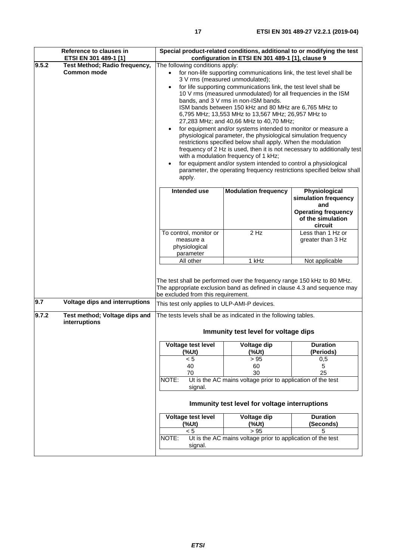| Reference to clauses in<br>ETSI EN 301 489-1 [1]             |                                                                   | Special product-related conditions, additional to or modifying the test<br>configuration in ETSI EN 301 489-1 [1], clause 9                                                                                                                                                                                                                                                                                                                                                                                                                                                                                                                                                                                                                                      |                                                                                                                                                   |  |
|--------------------------------------------------------------|-------------------------------------------------------------------|------------------------------------------------------------------------------------------------------------------------------------------------------------------------------------------------------------------------------------------------------------------------------------------------------------------------------------------------------------------------------------------------------------------------------------------------------------------------------------------------------------------------------------------------------------------------------------------------------------------------------------------------------------------------------------------------------------------------------------------------------------------|---------------------------------------------------------------------------------------------------------------------------------------------------|--|
| 9.5.2<br>Test Method; Radio frequency,<br><b>Common mode</b> | The following conditions apply:<br>$\bullet$<br>apply.            | for non-life supporting communications link, the test level shall be<br>3 V rms (measured unmodulated);<br>for life supporting communications link, the test level shall be<br>10 V rms (measured unmodulated) for all frequencies in the ISM<br>bands, and 3 V rms in non-ISM bands.<br>ISM bands between 150 kHz and 80 MHz are 6,765 MHz to<br>6,795 MHz; 13,553 MHz to 13,567 MHz; 26,957 MHz to<br>27,283 MHz; and 40,66 MHz to 40,70 MHz;<br>for equipment and/or systems intended to monitor or measure a<br>physiological parameter, the physiological simulation frequency<br>restrictions specified below shall apply. When the modulation<br>with a modulation frequency of 1 kHz;<br>for equipment and/or system intended to control a physiological | frequency of 2 Hz is used, then it is not necessary to additionally test<br>parameter, the operating frequency restrictions specified below shall |  |
|                                                              | Intended use                                                      | <b>Modulation frequency</b>                                                                                                                                                                                                                                                                                                                                                                                                                                                                                                                                                                                                                                                                                                                                      | Physiological<br>simulation frequency<br>and<br><b>Operating frequency</b><br>of the simulation<br>circuit                                        |  |
|                                                              | To control, monitor or<br>measure a<br>physiological<br>parameter | 2 Hz                                                                                                                                                                                                                                                                                                                                                                                                                                                                                                                                                                                                                                                                                                                                                             | Less than 1 Hz or<br>greater than 3 Hz                                                                                                            |  |
|                                                              | All other<br>be excluded from this requirement.                   | 1 kHz<br>The test shall be performed over the frequency range 150 kHz to 80 MHz.<br>The appropriate exclusion band as defined in clause 4.3 and sequence may                                                                                                                                                                                                                                                                                                                                                                                                                                                                                                                                                                                                     | Not applicable                                                                                                                                    |  |
| 9.7<br>Voltage dips and interruptions                        | This test only applies to ULP-AMI-P devices.                      |                                                                                                                                                                                                                                                                                                                                                                                                                                                                                                                                                                                                                                                                                                                                                                  |                                                                                                                                                   |  |
| 9.7.2<br>Test method; Voltage dips and<br>interruptions      |                                                                   | The tests levels shall be as indicated in the following tables.<br>Immunity test level for voltage dips                                                                                                                                                                                                                                                                                                                                                                                                                                                                                                                                                                                                                                                          |                                                                                                                                                   |  |
|                                                              | Voltage test level                                                | Voltage dip                                                                                                                                                                                                                                                                                                                                                                                                                                                                                                                                                                                                                                                                                                                                                      | <b>Duration</b>                                                                                                                                   |  |
|                                                              | (%Ut)<br>< 5<br>40<br>70<br>NOTE:                                 | (%Ut)<br>> 95<br>60<br>30<br>Ut is the AC mains voltage prior to application of the test                                                                                                                                                                                                                                                                                                                                                                                                                                                                                                                                                                                                                                                                         | (Periods)<br>0,5<br>5<br>25                                                                                                                       |  |
|                                                              | signal.                                                           | Immunity test level for voltage interruptions                                                                                                                                                                                                                                                                                                                                                                                                                                                                                                                                                                                                                                                                                                                    |                                                                                                                                                   |  |
|                                                              | Voltage test level<br>(%Ut)                                       | Voltage dip<br>(%Ut)                                                                                                                                                                                                                                                                                                                                                                                                                                                                                                                                                                                                                                                                                                                                             | <b>Duration</b><br>(Seconds)                                                                                                                      |  |
|                                                              | < 5<br>NOTE:<br>signal.                                           | > 95<br>Ut is the AC mains voltage prior to application of the test                                                                                                                                                                                                                                                                                                                                                                                                                                                                                                                                                                                                                                                                                              | 5                                                                                                                                                 |  |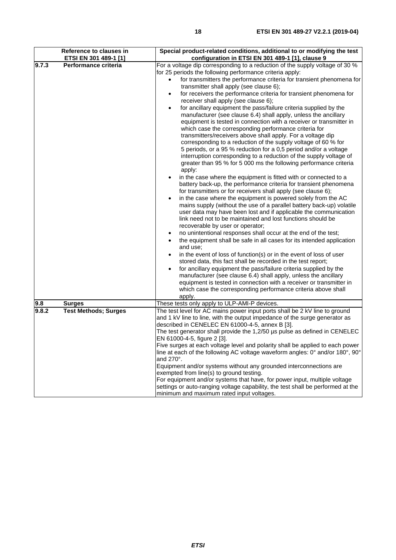|       | Reference to clauses in                       | Special product-related conditions, additional to or modifying the test                                                                                                                                                                                                                                                                                                                                                                                                                                                                                                                                                                                                                                                                                                                                                                                                                                                                                                                                                                                                                                                                                                                                                                                                                                                                                                                                                                                                                                                                                                                                                                                                                                                                                                                                                                                                                                                                                                                                                                                                                                                                                                                             |
|-------|-----------------------------------------------|-----------------------------------------------------------------------------------------------------------------------------------------------------------------------------------------------------------------------------------------------------------------------------------------------------------------------------------------------------------------------------------------------------------------------------------------------------------------------------------------------------------------------------------------------------------------------------------------------------------------------------------------------------------------------------------------------------------------------------------------------------------------------------------------------------------------------------------------------------------------------------------------------------------------------------------------------------------------------------------------------------------------------------------------------------------------------------------------------------------------------------------------------------------------------------------------------------------------------------------------------------------------------------------------------------------------------------------------------------------------------------------------------------------------------------------------------------------------------------------------------------------------------------------------------------------------------------------------------------------------------------------------------------------------------------------------------------------------------------------------------------------------------------------------------------------------------------------------------------------------------------------------------------------------------------------------------------------------------------------------------------------------------------------------------------------------------------------------------------------------------------------------------------------------------------------------------------|
| 9.7.3 | ETSI EN 301 489-1 [1]<br>Performance criteria | configuration in ETSI EN 301 489-1 [1], clause 9<br>For a voltage dip corresponding to a reduction of the supply voltage of 30 %<br>for 25 periods the following performance criteria apply:<br>for transmitters the performance criteria for transient phenomena for<br>$\bullet$<br>transmitter shall apply (see clause 6);<br>for receivers the performance criteria for transient phenomena for<br>receiver shall apply (see clause 6);<br>for ancillary equipment the pass/failure criteria supplied by the<br>$\bullet$<br>manufacturer (see clause 6.4) shall apply, unless the ancillary<br>equipment is tested in connection with a receiver or transmitter in<br>which case the corresponding performance criteria for<br>transmitters/receivers above shall apply. For a voltage dip<br>corresponding to a reduction of the supply voltage of 60 % for<br>5 periods, or a 95 % reduction for a 0,5 period and/or a voltage<br>interruption corresponding to a reduction of the supply voltage of<br>greater than 95 % for 5 000 ms the following performance criteria<br>apply:<br>in the case where the equipment is fitted with or connected to a<br>battery back-up, the performance criteria for transient phenomena<br>for transmitters or for receivers shall apply (see clause 6);<br>in the case where the equipment is powered solely from the AC<br>mains supply (without the use of a parallel battery back-up) volatile<br>user data may have been lost and if applicable the communication<br>link need not to be maintained and lost functions should be<br>recoverable by user or operator;<br>no unintentional responses shall occur at the end of the test;<br>the equipment shall be safe in all cases for its intended application<br>and use;<br>in the event of loss of function(s) or in the event of loss of user<br>stored data, this fact shall be recorded in the test report;<br>for ancillary equipment the pass/failure criteria supplied by the<br>manufacturer (see clause 6.4) shall apply, unless the ancillary<br>equipment is tested in connection with a receiver or transmitter in<br>which case the corresponding performance criteria above shall |
| 9.8   | <b>Surges</b>                                 | apply.<br>These tests only apply to ULP-AMI-P devices.                                                                                                                                                                                                                                                                                                                                                                                                                                                                                                                                                                                                                                                                                                                                                                                                                                                                                                                                                                                                                                                                                                                                                                                                                                                                                                                                                                                                                                                                                                                                                                                                                                                                                                                                                                                                                                                                                                                                                                                                                                                                                                                                              |
| 9.8.2 | <b>Test Methods; Surges</b>                   | The test level for AC mains power input ports shall be 2 kV line to ground<br>and 1 kV line to line, with the output impedance of the surge generator as<br>described in CENELEC EN 61000-4-5, annex B [3].<br>The test generator shall provide the 1,2/50 µs pulse as defined in CENELEC<br>EN 61000-4-5, figure 2 [3].<br>Five surges at each voltage level and polarity shall be applied to each power<br>line at each of the following AC voltage waveform angles: $0^{\circ}$ and/or 180 $^{\circ}$ , 90 $^{\circ}$<br>and 270°.<br>Equipment and/or systems without any grounded interconnections are<br>exempted from line(s) to ground testing.<br>For equipment and/or systems that have, for power input, multiple voltage<br>settings or auto-ranging voltage capability, the test shall be performed at the                                                                                                                                                                                                                                                                                                                                                                                                                                                                                                                                                                                                                                                                                                                                                                                                                                                                                                                                                                                                                                                                                                                                                                                                                                                                                                                                                                             |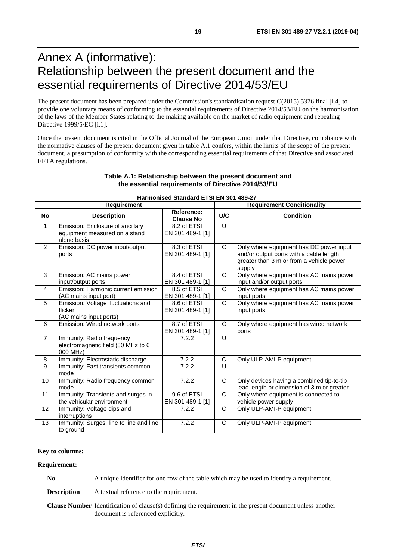# <span id="page-18-0"></span>Annex A (informative): Relationship between the present document and the essential requirements of Directive 2014/53/EU

The present document has been prepared under the Commission's standardisation request C(2015) 5376 final [\[i.4\]](#page-6-0) to provide one voluntary means of conforming to the essential requirements of Directive 2014/53/EU on the harmonisation of the laws of the Member States relating to the making available on the market of radio equipment and repealing Directive 1999/5/EC [\[i.1](#page-6-0)].

Once the present document is cited in the Official Journal of the European Union under that Directive, compliance with the normative clauses of the present document given in table A.1 confers, within the limits of the scope of the present document, a presumption of conformity with the corresponding essential requirements of that Directive and associated EFTA regulations.

| Harmonised Standard ETSI EN 301 489-27 |                                                                                  |                                 |              |                                                                                                                                          |  |  |  |  |  |
|----------------------------------------|----------------------------------------------------------------------------------|---------------------------------|--------------|------------------------------------------------------------------------------------------------------------------------------------------|--|--|--|--|--|
| <b>Requirement</b>                     |                                                                                  |                                 |              | <b>Requirement Conditionality</b>                                                                                                        |  |  |  |  |  |
| <b>No</b>                              | <b>Description</b>                                                               | Reference:<br><b>Clause No</b>  | U/C          | <b>Condition</b>                                                                                                                         |  |  |  |  |  |
| $\mathbf{1}$                           | Emission: Enclosure of ancillary<br>equipment measured on a stand<br>alone basis | 8.2 of ETSI<br>EN 301 489-1 [1] | $\cup$       |                                                                                                                                          |  |  |  |  |  |
| $\overline{2}$                         | Emission: DC power input/output<br>ports                                         | 8.3 of ETSI<br>EN 301 489-1 [1] | C            | Only where equipment has DC power input<br>and/or output ports with a cable length<br>greater than 3 m or from a vehicle power<br>supply |  |  |  |  |  |
| 3                                      | Emission: AC mains power<br>input/output ports                                   | 8.4 of ETSI<br>EN 301 489-1 [1] | $\mathsf{C}$ | Only where equipment has AC mains power<br>input and/or output ports                                                                     |  |  |  |  |  |
| 4                                      | Emission: Harmonic current emission<br>(AC mains input port)                     | 8.5 of ETSI<br>EN 301 489-1 [1] | C            | Only where equipment has AC mains power<br>input ports                                                                                   |  |  |  |  |  |
| 5                                      | Emission: Voltage fluctuations and<br>flicker<br>(AC mains input ports)          | 8.6 of ETSI<br>EN 301 489-1 [1] | $\mathsf{C}$ | Only where equipment has AC mains power<br>input ports                                                                                   |  |  |  |  |  |
| 6                                      | Emission: Wired network ports                                                    | 8.7 of ETSI<br>EN 301 489-1 [1] | C            | Only where equipment has wired network<br>ports                                                                                          |  |  |  |  |  |
| $\overline{7}$                         | Immunity: Radio frequency<br>electromagnetic field (80 MHz to 6<br>000 MHz)      | 7.2.2                           | U            |                                                                                                                                          |  |  |  |  |  |
| 8                                      | Immunity: Electrostatic discharge                                                | 7.2.2                           | C            | Only ULP-AMI-P equipment                                                                                                                 |  |  |  |  |  |
| $\overline{9}$                         | Immunity: Fast transients common<br>mode                                         | 7.2.2                           | $\cup$       |                                                                                                                                          |  |  |  |  |  |
| 10                                     | Immunity: Radio frequency common<br>mode                                         | 7.2.2                           | $\mathsf{C}$ | Only devices having a combined tip-to-tip<br>lead length or dimension of 3 m or greater                                                  |  |  |  |  |  |
| 11                                     | Immunity: Transients and surges in<br>the vehicular environment                  | 9.6 of ETSI<br>EN 301 489-1 [1] | C            | Only where equipment is connected to<br>vehicle power supply                                                                             |  |  |  |  |  |
| 12                                     | Immunity: Voltage dips and<br>interruptions                                      | 7.2.2                           | C            | Only ULP-AMI-P equipment                                                                                                                 |  |  |  |  |  |
| 13                                     | Immunity: Surges, line to line and line<br>to ground                             | 7.2.2                           | $\mathsf{C}$ | Only ULP-AMI-P equipment                                                                                                                 |  |  |  |  |  |

#### **Table A.1: Relationship between the present document and the essential requirements of Directive 2014/53/EU**

#### **Key to columns:**

#### **Requirement:**

**No** A unique identifier for one row of the table which may be used to identify a requirement.

**Description** A textual reference to the requirement.

**Clause Number** Identification of clause(s) defining the requirement in the present document unless another document is referenced explicitly.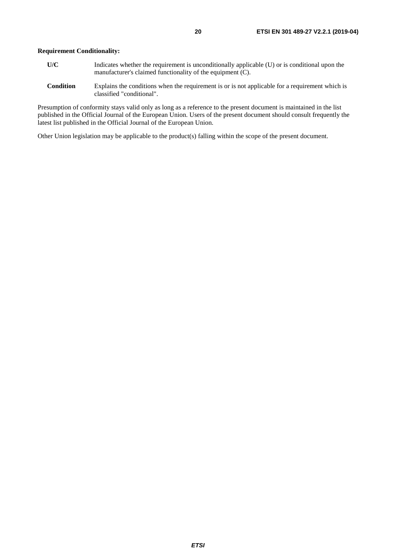- **U/C** Indicates whether the requirement is unconditionally applicable (U) or is conditional upon the manufacturer's claimed functionality of the equipment (C).
- **Condition** Explains the conditions when the requirement is or is not applicable for a requirement which is classified "conditional".

Presumption of conformity stays valid only as long as a reference to the present document is maintained in the list published in the Official Journal of the European Union. Users of the present document should consult frequently the latest list published in the Official Journal of the European Union.

Other Union legislation may be applicable to the product(s) falling within the scope of the present document.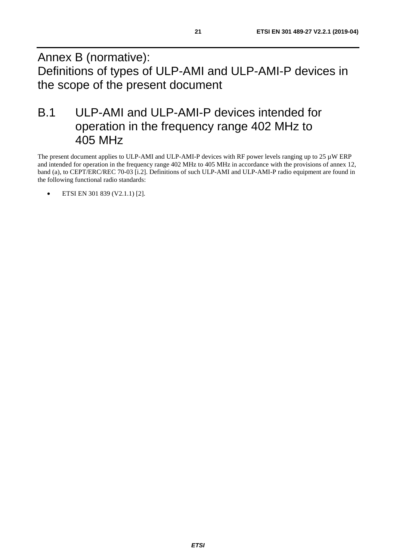<span id="page-20-0"></span>Annex B (normative): Definitions of types of ULP-AMI and ULP-AMI-P devices in the scope of the present document

# B.1 ULP-AMI and ULP-AMI-P devices intended for operation in the frequency range 402 MHz to 405 MHz

The present document applies to ULP-AMI and ULP-AMI-P devices with RF power levels ranging up to 25  $\mu$ W ERP and intended for operation in the frequency range 402 MHz to 405 MHz in accordance with the provisions of annex 12, band (a), to CEPT/ERC/REC 70-03 [[i.2](#page-6-0)]. Definitions of such ULP-AMI and ULP-AMI-P radio equipment are found in the following functional radio standards:

• ETSI EN 301 839 (V2.1.1) [\[2](#page-5-0)].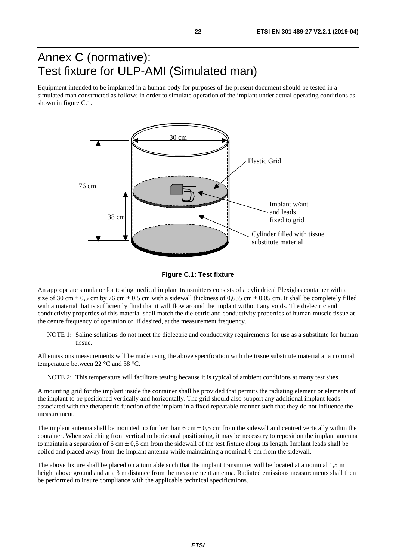# <span id="page-21-0"></span>Annex C (normative): Test fixture for ULP-AMI (Simulated man)

Equipment intended to be implanted in a human body for purposes of the present document should be tested in a simulated man constructed as follows in order to simulate operation of the implant under actual operating conditions as shown in figure C.1.





An appropriate simulator for testing medical implant transmitters consists of a cylindrical Plexiglas container with a size of 30 cm  $\pm$  0,5 cm by 76 cm  $\pm$  0,5 cm with a sidewall thickness of 0,635 cm  $\pm$  0,05 cm. It shall be completely filled with a material that is sufficiently fluid that it will flow around the implant without any voids. The dielectric and conductivity properties of this material shall match the dielectric and conductivity properties of human muscle tissue at the centre frequency of operation or, if desired, at the measurement frequency.

NOTE 1: Saline solutions do not meet the dielectric and conductivity requirements for use as a substitute for human tissue.

All emissions measurements will be made using the above specification with the tissue substitute material at a nominal temperature between 22 °C and 38 °C.

NOTE 2: This temperature will facilitate testing because it is typical of ambient conditions at many test sites.

A mounting grid for the implant inside the container shall be provided that permits the radiating element or elements of the implant to be positioned vertically and horizontally. The grid should also support any additional implant leads associated with the therapeutic function of the implant in a fixed repeatable manner such that they do not influence the measurement.

The implant antenna shall be mounted no further than 6 cm  $\pm$  0,5 cm from the sidewall and centred vertically within the container. When switching from vertical to horizontal positioning, it may be necessary to reposition the implant antenna to maintain a separation of 6 cm  $\pm$  0.5 cm from the sidewall of the test fixture along its length. Implant leads shall be coiled and placed away from the implant antenna while maintaining a nominal 6 cm from the sidewall.

The above fixture shall be placed on a turntable such that the implant transmitter will be located at a nominal 1,5 m height above ground and at a 3 m distance from the measurement antenna. Radiated emissions measurements shall then be performed to insure compliance with the applicable technical specifications.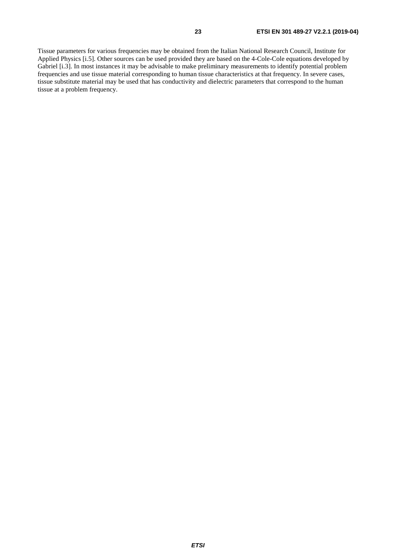Tissue parameters for various frequencies may be obtained from the Italian National Research Council, Institute for Applied Physics [[i.5\]](#page-6-0). Other sources can be used provided they are based on the 4-Cole-Cole equations developed by Gabriel [\[i.3\]](#page-6-0). In most instances it may be advisable to make preliminary measurements to identify potential problem frequencies and use tissue material corresponding to human tissue characteristics at that frequency. In severe cases, tissue substitute material may be used that has conductivity and dielectric parameters that correspond to the human tissue at a problem frequency.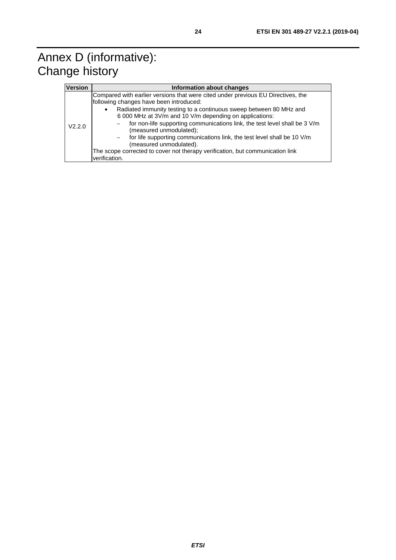# <span id="page-23-0"></span>Annex D (informative): Change history

| <b>Version</b> | Information about changes                                                                                                                                                                                                                                                                                                                                                                                                                                                                                                                                                                  |  |  |  |  |  |
|----------------|--------------------------------------------------------------------------------------------------------------------------------------------------------------------------------------------------------------------------------------------------------------------------------------------------------------------------------------------------------------------------------------------------------------------------------------------------------------------------------------------------------------------------------------------------------------------------------------------|--|--|--|--|--|
| V2.2.0         | Compared with earlier versions that were cited under previous EU Directives, the<br>following changes have been introduced:<br>Radiated immunity testing to a continuous sweep between 80 MHz and<br>$\bullet$<br>6 000 MHz at 3V/m and 10 V/m depending on applications:<br>for non-life supporting communications link, the test level shall be 3 V/m<br>(measured unmodulated);<br>for life supporting communications link, the test level shall be 10 V/m<br>(measured unmodulated).<br>The scope corrected to cover not therapy verification, but communication link<br>verification. |  |  |  |  |  |